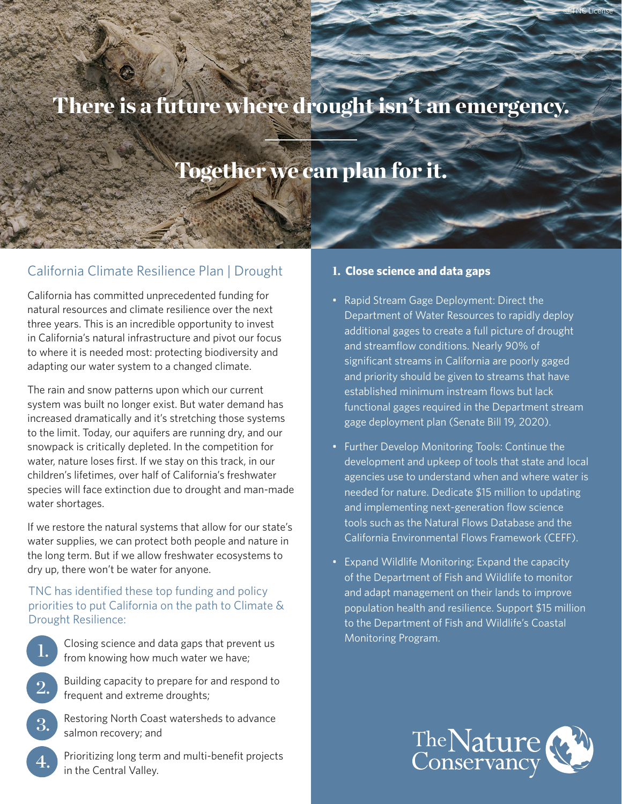# There is a future where drought isn't an emergency.

## Together we can plan for it.

## California Climate Resilience Plan | Drought

California has committed unprecedented funding for natural resources and climate resilience over the next three years. This is an incredible opportunity to invest in California's natural infrastructure and pivot our focus to where it is needed most: protecting biodiversity and adapting our water system to a changed climate.

The rain and snow patterns upon which our current system was built no longer exist. But water demand has increased dramatically and it's stretching those systems to the limit. Today, our aquifers are running dry, and our snowpack is critically depleted. In the competition for water, nature loses first. If we stay on this track, in our children's lifetimes, over half of California's freshwater species will face extinction due to drought and man-made water shortages.

If we restore the natural systems that allow for our state's water supplies, we can protect both people and nature in the long term. But if we allow freshwater ecosystems to dry up, there won't be water for anyone.

#### TNC has identified these top funding and policy priorities to put California on the path to Climate & Drought Resilience:

- Closing science and data gaps that prevent us from knowing how much water we have;
- Building capacity to prepare for and respond to frequent and extreme droughts;
- Restoring North Coast watersheds to advance salmon recovery; and 3.

1.

2.

4.

Prioritizing long term and multi-benefit projects in the Central Valley.

#### 1. **Close science and data gaps**

• Rapid Stream Gage Deployment: Direct the Department of Water Resources to rapidly deploy additional gages to create a full picture of drought and streamflow conditions. Nearly 90% of significant streams in California are poorly gaged and priority should be given to streams that have established minimum instream flows but lack functional gages required in the Department stream gage deployment plan (Senate Bill 19, 2020).

© TNC License

- Further Develop Monitoring Tools: Continue the development and upkeep of tools that state and local agencies use to understand when and where water is needed for nature. Dedicate \$15 million to updating and implementing next-generation flow science tools such as the Natural Flows Database and the California Environmental Flows Framework (CEFF).
- Expand Wildlife Monitoring: Expand the capacity of the Department of Fish and Wildlife to monitor and adapt management on their lands to improve population health and resilience. Support \$15 million to the Department of Fish and Wildlife's Coastal Monitoring Program.